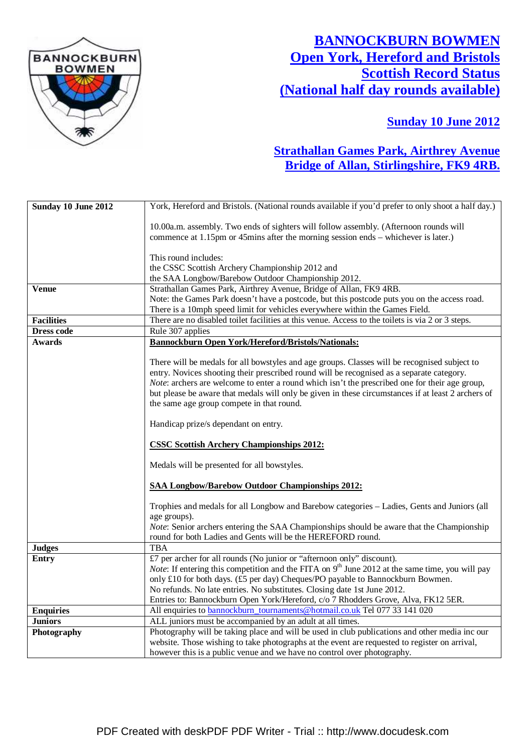

## **BANNOCKBURN BOWMEN Open York, Hereford and Bristols Scottish Record Status (National half day rounds available)**

## **Sunday 10 June 2012**

## **Strathallan Games Park, Airthrey Avenue Bridge of Allan, Stirlingshire, FK9 4RB.**

| Sunday 10 June 2012 | York, Hereford and Bristols. (National rounds available if you'd prefer to only shoot a half day.)                                                                                                                                                                                                                                                                                                                                                    |  |
|---------------------|-------------------------------------------------------------------------------------------------------------------------------------------------------------------------------------------------------------------------------------------------------------------------------------------------------------------------------------------------------------------------------------------------------------------------------------------------------|--|
|                     | 10.00a.m. assembly. Two ends of sighters will follow assembly. (Afternoon rounds will                                                                                                                                                                                                                                                                                                                                                                 |  |
|                     | commence at 1.15pm or 45mins after the morning session ends – whichever is later.)                                                                                                                                                                                                                                                                                                                                                                    |  |
|                     |                                                                                                                                                                                                                                                                                                                                                                                                                                                       |  |
|                     | This round includes:                                                                                                                                                                                                                                                                                                                                                                                                                                  |  |
|                     | the CSSC Scottish Archery Championship 2012 and                                                                                                                                                                                                                                                                                                                                                                                                       |  |
| <b>Venue</b>        | the SAA Longbow/Barebow Outdoor Championship 2012.<br>Strathallan Games Park, Airthrey Avenue, Bridge of Allan, FK9 4RB.                                                                                                                                                                                                                                                                                                                              |  |
|                     | Note: the Games Park doesn't have a postcode, but this postcode puts you on the access road.                                                                                                                                                                                                                                                                                                                                                          |  |
|                     | There is a 10mph speed limit for vehicles everywhere within the Games Field.                                                                                                                                                                                                                                                                                                                                                                          |  |
| <b>Facilities</b>   | There are no disabled toilet facilities at this venue. Access to the toilets is via 2 or 3 steps.                                                                                                                                                                                                                                                                                                                                                     |  |
| <b>Dress code</b>   | Rule 307 applies                                                                                                                                                                                                                                                                                                                                                                                                                                      |  |
| <b>Awards</b>       | <b>Bannockburn Open York/Hereford/Bristols/Nationals:</b>                                                                                                                                                                                                                                                                                                                                                                                             |  |
|                     | There will be medals for all bowstyles and age groups. Classes will be recognised subject to<br>entry. Novices shooting their prescribed round will be recognised as a separate category.<br><i>Note:</i> archers are welcome to enter a round which isn't the prescribed one for their age group,<br>but please be aware that medals will only be given in these circumstances if at least 2 archers of<br>the same age group compete in that round. |  |
|                     | Handicap prize/s dependant on entry.                                                                                                                                                                                                                                                                                                                                                                                                                  |  |
|                     | <b>CSSC Scottish Archery Championships 2012:</b><br>Medals will be presented for all bowstyles.<br><b>SAA Longbow/Barebow Outdoor Championships 2012:</b>                                                                                                                                                                                                                                                                                             |  |
|                     |                                                                                                                                                                                                                                                                                                                                                                                                                                                       |  |
|                     |                                                                                                                                                                                                                                                                                                                                                                                                                                                       |  |
|                     | Trophies and medals for all Longbow and Barebow categories - Ladies, Gents and Juniors (all<br>age groups).<br>Note: Senior archers entering the SAA Championships should be aware that the Championship<br>round for both Ladies and Gents will be the HEREFORD round.                                                                                                                                                                               |  |
| <b>Judges</b>       | <b>TBA</b>                                                                                                                                                                                                                                                                                                                                                                                                                                            |  |
| Entry               | £7 per archer for all rounds (No junior or "afternoon only" discount).                                                                                                                                                                                                                                                                                                                                                                                |  |
|                     | <i>Note:</i> If entering this competition and the FITA on 9 <sup>th</sup> June 2012 at the same time, you will pay                                                                                                                                                                                                                                                                                                                                    |  |
|                     | only £10 for both days. (£5 per day) Cheques/PO payable to Bannockburn Bowmen.                                                                                                                                                                                                                                                                                                                                                                        |  |
|                     | No refunds. No late entries. No substitutes. Closing date 1st June 2012.<br>Entries to: Bannockburn Open York/Hereford, c/o 7 Rhodders Grove, Alva, FK12 5ER.                                                                                                                                                                                                                                                                                         |  |
| <b>Enquiries</b>    | All enquiries to <b>bannockburn_tournaments@hotmail.co.uk</b> Tel 077 33 141 020                                                                                                                                                                                                                                                                                                                                                                      |  |
| <b>Juniors</b>      | ALL juniors must be accompanied by an adult at all times.                                                                                                                                                                                                                                                                                                                                                                                             |  |
| Photography         | Photography will be taking place and will be used in club publications and other media inc our                                                                                                                                                                                                                                                                                                                                                        |  |
|                     | website. Those wishing to take photographs at the event are requested to register on arrival,                                                                                                                                                                                                                                                                                                                                                         |  |
|                     | however this is a public venue and we have no control over photography.                                                                                                                                                                                                                                                                                                                                                                               |  |